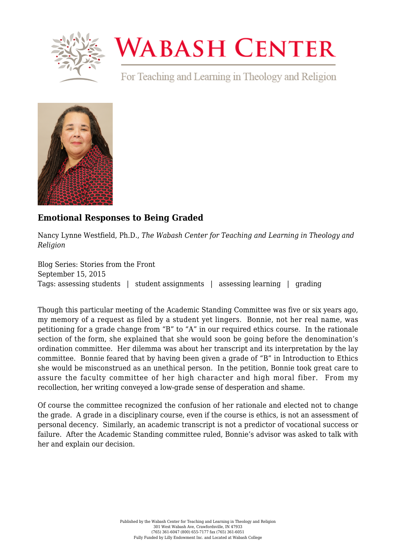

## **WABASH CENTER**

For Teaching and Learning in Theology and Religion



## **[Emotional Responses to Being Graded](https://www.wabashcenter.wabash.edu/2015/09/emotional-responses-to-being-graded/)**

Nancy Lynne Westfield, Ph.D., *The Wabash Center for Teaching and Learning in Theology and Religion*

Blog Series: Stories from the Front September 15, 2015 Tags: assessing students | student assignments | assessing learning | grading

Though this particular meeting of the Academic Standing Committee was five or six years ago, my memory of a request as filed by a student yet lingers. Bonnie, not her real name, was petitioning for a grade change from "B" to "A" in our required ethics course. In the rationale section of the form, she explained that she would soon be going before the denomination's ordination committee. Her dilemma was about her transcript and its interpretation by the lay committee. Bonnie feared that by having been given a grade of "B" in Introduction to Ethics she would be misconstrued as an unethical person. In the petition, Bonnie took great care to assure the faculty committee of her high character and high moral fiber. From my recollection, her writing conveyed a low-grade sense of desperation and shame.

Of course the committee recognized the confusion of her rationale and elected not to change the grade. A grade in a disciplinary course, even if the course is ethics, is not an assessment of personal decency. Similarly, an academic transcript is not a predictor of vocational success or failure. After the Academic Standing committee ruled, Bonnie's advisor was asked to talk with her and explain our decision.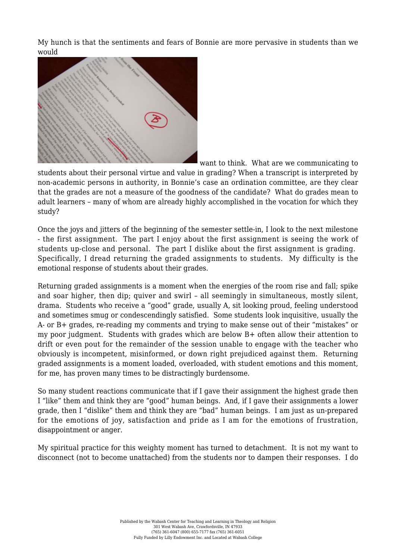My hunch is that the sentiments and fears of Bonnie are more pervasive in students than we would



want to think. What are we communicating to

students about their personal virtue and value in grading? When a transcript is interpreted by non-academic persons in authority, in Bonnie's case an ordination committee, are they clear that the grades are not a measure of the goodness of the candidate? What do grades mean to adult learners – many of whom are already highly accomplished in the vocation for which they study?

Once the joys and jitters of the beginning of the semester settle-in, I look to the next milestone - the first assignment. The part I enjoy about the first assignment is seeing the work of students up-close and personal. The part I dislike about the first assignment is grading. Specifically, I dread returning the graded assignments to students. My difficulty is the emotional response of students about their grades.

Returning graded assignments is a moment when the energies of the room rise and fall; spike and soar higher, then dip; quiver and swirl – all seemingly in simultaneous, mostly silent, drama. Students who receive a "good" grade, usually A, sit looking proud, feeling understood and sometimes smug or condescendingly satisfied. Some students look inquisitive, usually the A- or B+ grades, re-reading my comments and trying to make sense out of their "mistakes" or my poor judgment. Students with grades which are below B+ often allow their attention to drift or even pout for the remainder of the session unable to engage with the teacher who obviously is incompetent, misinformed, or down right prejudiced against them. Returning graded assignments is a moment loaded, overloaded, with student emotions and this moment, for me, has proven many times to be distractingly burdensome.

So many student reactions communicate that if I gave their assignment the highest grade then I "like" them and think they are "good" human beings. And, if I gave their assignments a lower grade, then I "dislike" them and think they are "bad" human beings. I am just as un-prepared for the emotions of joy, satisfaction and pride as I am for the emotions of frustration, disappointment or anger.

My spiritual practice for this weighty moment has turned to detachment. It is not my want to disconnect (not to become unattached) from the students nor to dampen their responses. I do